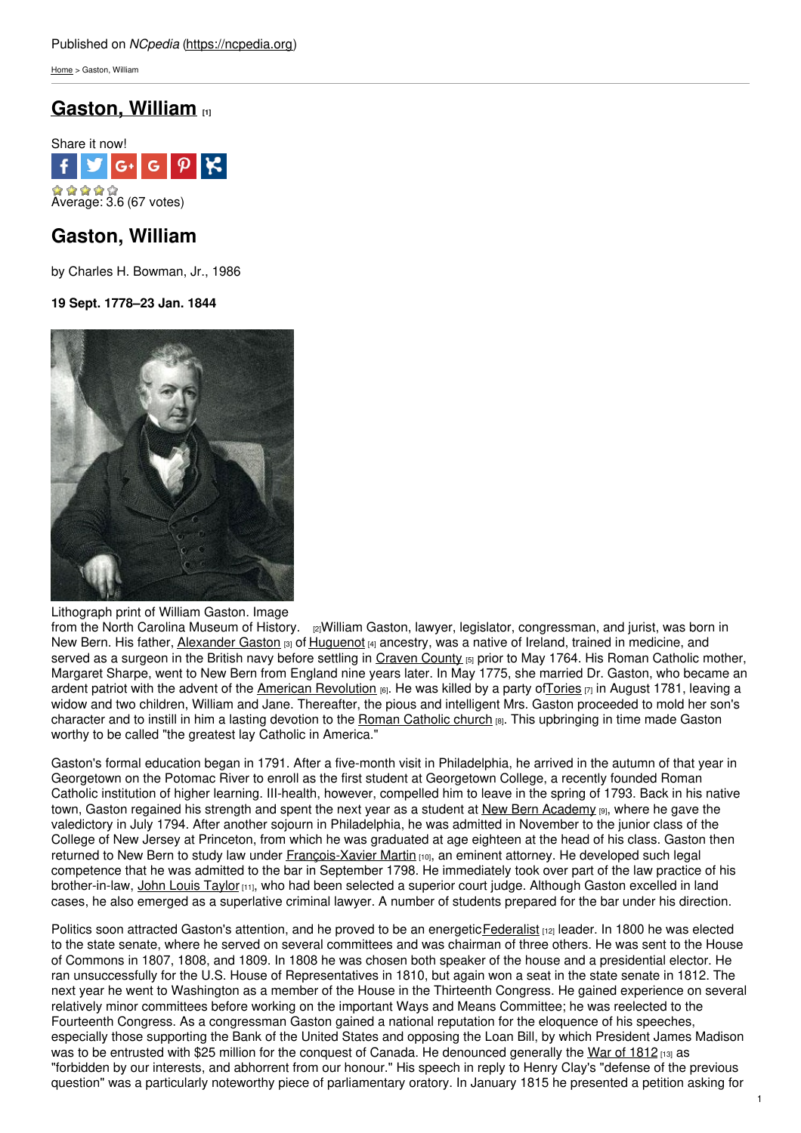[Home](https://ncpedia.org/) > Gaston, William

# **[Gaston,](https://ncpedia.org/biography/gaston-william) William [1]**



## **Gaston, William**

by Charles H. Bowman, Jr., 1986

**19 Sept. 1778–23 Jan. 1844**



Lithograph print of William Gaston. Image

from the North Carolina [Museum](http://collections.ncdcr.gov/RediscoveryProficioPublicSearch/ShowItem.aspx?14227+) of History. [2] William Gaston, lawyer, legislator, congressman, and jurist, was born in New Bern. His father, [Alexander](https://ncpedia.org/biography/gaston-alexander) Gaston [3] of [Huguenot](https://ncpedia.org/huguenots) [4] ancestry, was a native of Ireland, trained in medicine, and served as a surgeon in the British navy before settling in [Craven](https://ncpedia.org/geography/craven) County [5] prior to May 1764. His Roman Catholic mother, Margaret Sharpe, went to New Bern from England nine years later. In May 1775, she married Dr. Gaston, who became an ardent patriot with the advent of the American [Revolution](https://ncpedia.org/american-revolution) [6]. He was killed by a party of Tories [7] in August 1781, leaving a widow and two children, William and Jane. Thereafter, the pious and intelligent Mrs. Gaston proceeded to mold her son's character and to instill in him a lasting devotion to the Roman [Catholic](https://ncpedia.org/roman-catholic-church) church [8]. This upbringing in time made Gaston worthy to be called "the greatest lay Catholic in America."

Gaston's formal education began in 1791. After a five-month visit in Philadelphia, he arrived in the autumn of that year in Georgetown on the Potomac River to enroll as the first student at Georgetown College, a recently founded Roman Catholic institution of higher learning. III-health, however, compelled him to leave in the spring of 1793. Back in his native town, Gaston regained his strength and spent the next year as a student at New Bern [Academy](https://ncpedia.org/new-bern-academy) [9], where he gave the valedictory in July 1794. After another sojourn in Philadelphia, he was admitted in November to the junior class of the College of New Jersey at Princeton, from which he was graduated at age eighteen at the head of his class. Gaston then returned to New Bern to study law under [François-Xavier](https://ncpedia.org/biography/martin-fran%C3%A7ois-xavier) Martin [10], an eminent attorney. He developed such legal competence that he was admitted to the bar in September 1798. He immediately took over part of the law practice of his brother-in-law, John Louis [Taylor](https://ncpedia.org/biography/taylor-john-louis) [11], who had been selected a superior court judge. Although Gaston excelled in land cases, he also emerged as a superlative criminal lawyer. A number of students prepared for the bar under his direction.

Politics soon attracted Gaston's attention, and he proved to be an energetic [Federalist](https://ncpedia.org/federalist-party) [12] leader. In 1800 he was elected to the state senate, where he served on several committees and was chairman of three others. He was sent to the House of Commons in 1807, 1808, and 1809. In 1808 he was chosen both speaker of the house and a presidential elector. He ran unsuccessfully for the U.S. House of Representatives in 1810, but again won a seat in the state senate in 1812. The next year he went to Washington as a member of the House in the Thirteenth Congress. He gained experience on several relatively minor committees before working on the important Ways and Means Committee; he was reelected to the Fourteenth Congress. As a congressman Gaston gained a national reputation for the eloquence of his speeches, especially those supporting the Bank of the United States and opposing the Loan Bill, by which President James Madison was to be entrusted with \$25 million for the conquest of Canada. He denounced generally the War of [1812](https://ncpedia.org/war-1812) [13] as "forbidden by our interests, and abhorrent from our honour." His speech in reply to Henry Clay's "defense of the previous question" was a particularly noteworthy piece of parliamentary oratory. In January 1815 he presented a petition asking for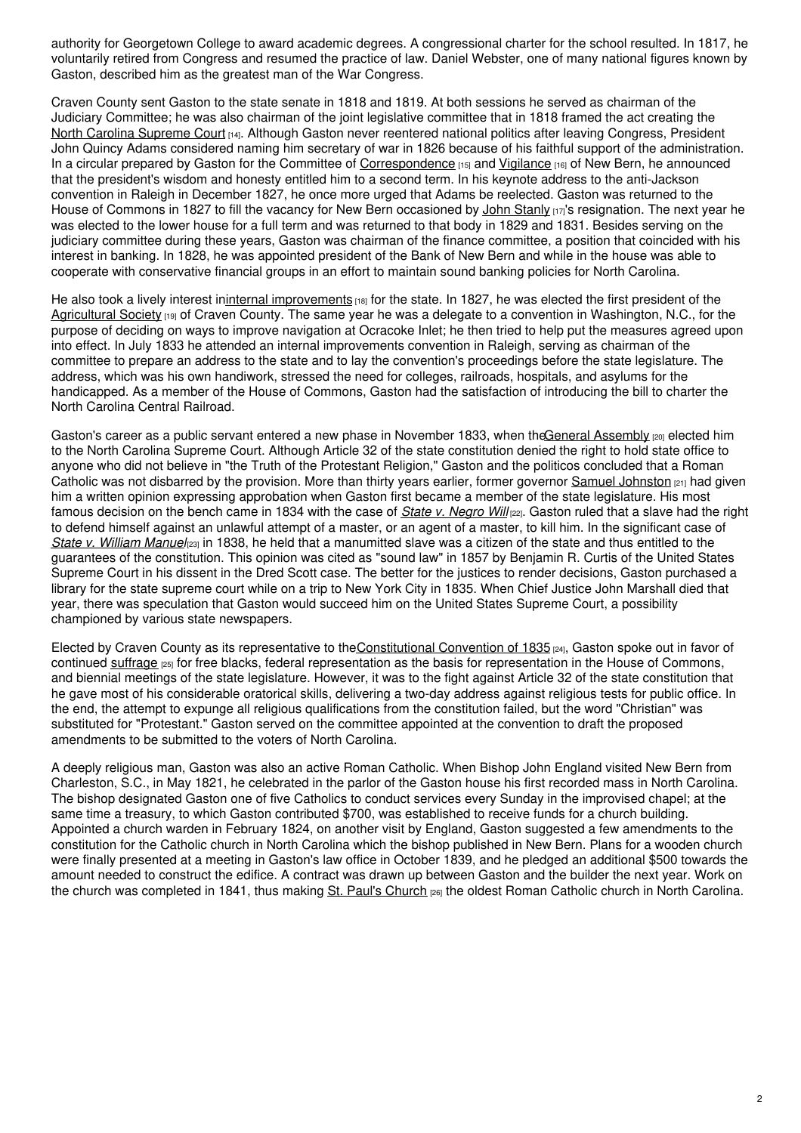authority for Georgetown College to award academic degrees. A congressional charter for the school resulted. In 1817, he voluntarily retired from Congress and resumed the practice of law. Daniel Webster, one of many national figures known by Gaston, described him as the greatest man of the War Congress.

Craven County sent Gaston to the state senate in 1818 and 1819. At both sessions he served as chairman of the Judiciary Committee; he was also chairman of the joint legislative committee that in 1818 framed the act creating the North Carolina [Supreme](https://ncpedia.org/supreme-court-north-carolina) Court [14]. Although Gaston never reentered national politics after leaving Congress, President John Quincy Adams considered naming him secretary of war in 1826 because of his faithful support of the administration. In a circular prepared by Gaston for the Committee of [Correspondence](https://ncpedia.org/committees-correspondence) [15] and [Vigilance](https://ncpedia.org/committees-observation) [16] of New Bern, he announced that the president's wisdom and honesty entitled him to a second term. In his keynote address to the anti-Jackson convention in Raleigh in December 1827, he once more urged that Adams be reelected. Gaston was returned to the House of Commons in 1827 to fill the vacancy for New Bern occasioned by John [Stanly](https://ncpedia.org/biography/stanly-john) [17]'s resignation. The next year he was elected to the lower house for a full term and was returned to that body in 1829 and 1831. Besides serving on the judiciary committee during these years, Gaston was chairman of the finance committee, a position that coincided with his interest in banking. In 1828, he was appointed president of the Bank of New Bern and while in the house was able to cooperate with conservative financial groups in an effort to maintain sound banking policies for North Carolina.

He also took a lively interest ininternal [improvements](https://ncpedia.org/internal-improvements-0) [18] for the state. In 1827, he was elected the first president of the [Agricultural](https://ncpedia.org/agricultural-society) Society [19] of Craven County. The same year he was a delegate to a convention in Washington, N.C., for the purpose of deciding on ways to improve navigation at Ocracoke Inlet; he then tried to help put the measures agreed upon into effect. In July 1833 he attended an internal improvements convention in Raleigh, serving as chairman of the committee to prepare an address to the state and to lay the convention's proceedings before the state legislature. The address, which was his own handiwork, stressed the need for colleges, railroads, hospitals, and asylums for the handicapped. As a member of the House of Commons, Gaston had the satisfaction of introducing the bill to charter the North Carolina Central Railroad.

Gaston's career as a public servant entered a new phase in November 1833, when theGeneral [Assembly](https://ncpedia.org/general-assembly) (20) elected him to the North Carolina Supreme Court. Although Article 32 of the state constitution denied the right to hold state office to anyone who did not believe in "the Truth of the Protestant Religion," Gaston and the politicos concluded that a Roman Catholic was not disbarred by the provision. More than thirty years earlier, former governor Samuel [Johnston](https://ncpedia.org/johnston-samuel)  $_{[21]}$  had given him a written opinion expressing approbation when Gaston first became a member of the state legislature. His most famous decision on the bench came in 1834 with the case of *State v. [Negro](https://ncpedia.org/state-v-negro-will) Will* [22]. Gaston ruled that a slave had the right to defend himself against an unlawful attempt of a master, or an agent of a master, to kill him. In the significant case of *State v. [William](https://ncpedia.org/state-v-manuel) Manuel*[23] in 1838, he held that a manumitted slave was a citizen of the state and thus entitled to the guarantees of the constitution. This opinion was cited as "sound law" in 1857 by Benjamin R. Curtis of the United States Supreme Court in his dissent in the Dred Scott case. The better for the justices to render decisions, Gaston purchased a library for the state supreme court while on a trip to New York City in 1835. When Chief Justice John Marshall died that year, there was speculation that Gaston would succeed him on the United States Supreme Court, a possibility championed by various state newspapers.

Elected by Craven County as its representative to the [Constitutional](https://ncpedia.org/1835-consitutional-convention) Convention of 1835 [24], Gaston spoke out in favor of continued [suffrage](https://ncpedia.org/free-suffrage) [25] for free blacks, federal representation as the basis for representation in the House of Commons, and biennial meetings of the state legislature. However, it was to the fight against Article 32 of the state constitution that he gave most of his considerable oratorical skills, delivering a two-day address against religious tests for public office. In the end, the attempt to expunge all religious qualifications from the constitution failed, but the word "Christian" was substituted for "Protestant." Gaston served on the committee appointed at the convention to draft the proposed amendments to be submitted to the voters of North Carolina.

A deeply religious man, Gaston was also an active Roman Catholic. When Bishop John England visited New Bern from Charleston, S.C., in May 1821, he celebrated in the parlor of the Gaston house his first recorded mass in North Carolina. The bishop designated Gaston one of five Catholics to conduct services every Sunday in the improvised chapel; at the same time a treasury, to which Gaston contributed \$700, was established to receive funds for a church building. Appointed a church warden in February 1824, on another visit by England, Gaston suggested a few amendments to the constitution for the Catholic church in North Carolina which the bishop published in New Bern. Plans for a wooden church were finally presented at a meeting in Gaston's law office in October 1839, and he pledged an additional \$500 towards the amount needed to construct the edifice. A contract was drawn up between Gaston and the builder the next year. Work on the church was completed in 1841, thus making St. Paul's [Church](http://www.stpaulccnewbern.org/) <sub>[26]</sub> the oldest Roman Catholic church in North Carolina.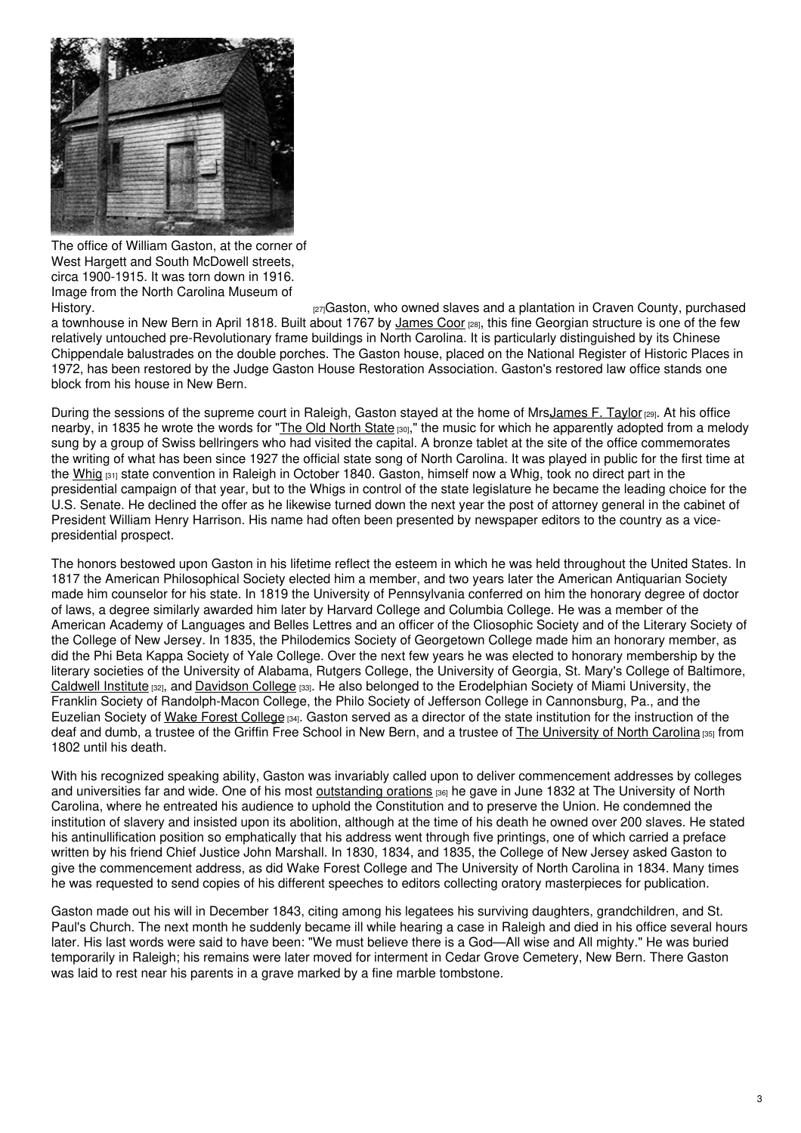

The office of William Gaston, at the corner of West Hargett and South McDowell streets, circa 1900-1915. It was torn down in 1916. Image from the North Carolina Museum of

[History.](http://collections.ncdcr.gov/RediscoveryProficioPublicSearch/ShowItem.aspx?44553+) **EXECT:** EXECT: 127] History. The owned slaves and a plantation in Craven County, purchased a townhouse in New Bern in April 1818. Built about 1767 by [James](https://ncpedia.org/biography/coor-james) Coor [28], this fine Georgian structure is one of the few relatively untouched pre-Revolutionary frame buildings in North Carolina. It is particularly distinguished by its Chinese Chippendale balustrades on the double porches. The Gaston house, placed on the National Register of Historic Places in 1972, has been restored by the Judge Gaston House Restoration Association. Gaston's restored law office stands one block from his house in New Bern.

During the sessions of the supreme court in Raleigh, Gaston stayed at the home of MrsJames F. Taylor [29]. At his office nearby, in 1835 he wrote the words for "The Old [North](https://ncpedia.org/symbols/song) State [30]," the music for which he apparently adopted from a melody sung by a group of Swiss bellringers who had visited the capital. A bronze tablet at the site of the office commemorates the writing of what has been since 1927 the official state song of North Carolina. It was played in public for the first time at the [Whig](https://ncpedia.org/whig-party)  $31$  state convention in Raleigh in October 1840. Gaston, himself now a Whig, took no direct part in the presidential campaign of that year, but to the Whigs in control of the state legislature he became the leading choice for the U.S. Senate. He declined the offer as he likewise turned down the next year the post of attorney general in the cabinet of President William Henry Harrison. His name had often been presented by newspaper editors to the country as a vicepresidential prospect.

The honors bestowed upon Gaston in his lifetime reflect the esteem in which he was held throughout the United States. In 1817 the American Philosophical Society elected him a member, and two years later the American Antiquarian Society made him counselor for his state. In 1819 the University of Pennsylvania conferred on him the honorary degree of doctor of laws, a degree similarly awarded him later by Harvard College and Columbia College. He was a member of the American Academy of Languages and Belles Lettres and an officer of the Cliosophic Society and of the Literary Society of the College of New Jersey. In 1835, the Philodemics Society of Georgetown College made him an honorary member, as did the Phi Beta Kappa Society of Yale College. Over the next few years he was elected to honorary membership by the literary societies of the University of Alabama, Rutgers College, the University of Georgia, St. Mary's College of Baltimore, [Caldwell](https://ncpedia.org/caldwell-institute) Institute [32], and [Davidson](https://ncpedia.org/davidson-college) College [33]. He also belonged to the Erodelphian Society of Miami University, the Franklin Society of Randolph-Macon College, the Philo Society of Jefferson College in Cannonsburg, Pa., and the Euzelian Society of Wake Forest [College](https://ncpedia.org/wake-forest-university) [34]. Gaston served as a director of the state institution for the instruction of the deaf and dumb, a trustee of the Griffin Free School in New Bern, and a trustee of The [University](https://ncpedia.org/university-north-carolina-chapel-hi) of North Carolina [35] from 1802 until his death.

With his recognized speaking ability, Gaston was invariably called upon to deliver commencement addresses by colleges and universities far and wide. One of his most [outstanding](https://docsouth.unc.edu/true/gaston/menu.html) orations [36] he gave in June 1832 at The University of North Carolina, where he entreated his audience to uphold the Constitution and to preserve the Union. He condemned the institution of slavery and insisted upon its abolition, although at the time of his death he owned over 200 slaves. He stated his antinullification position so emphatically that his address went through five printings, one of which carried a preface written by his friend Chief Justice John Marshall. In 1830, 1834, and 1835, the College of New Jersey asked Gaston to give the commencement address, as did Wake Forest College and The University of North Carolina in 1834. Many times he was requested to send copies of his different speeches to editors collecting oratory masterpieces for publication.

Gaston made out his will in December 1843, citing among his legatees his surviving daughters, grandchildren, and St. Paul's Church. The next month he suddenly became ill while hearing a case in Raleigh and died in his office several hours later. His last words were said to have been: "We must believe there is a God—All wise and All mighty." He was buried temporarily in Raleigh; his remains were later moved for interment in Cedar Grove Cemetery, New Bern. There Gaston was laid to rest near his parents in a grave marked by a fine marble tombstone.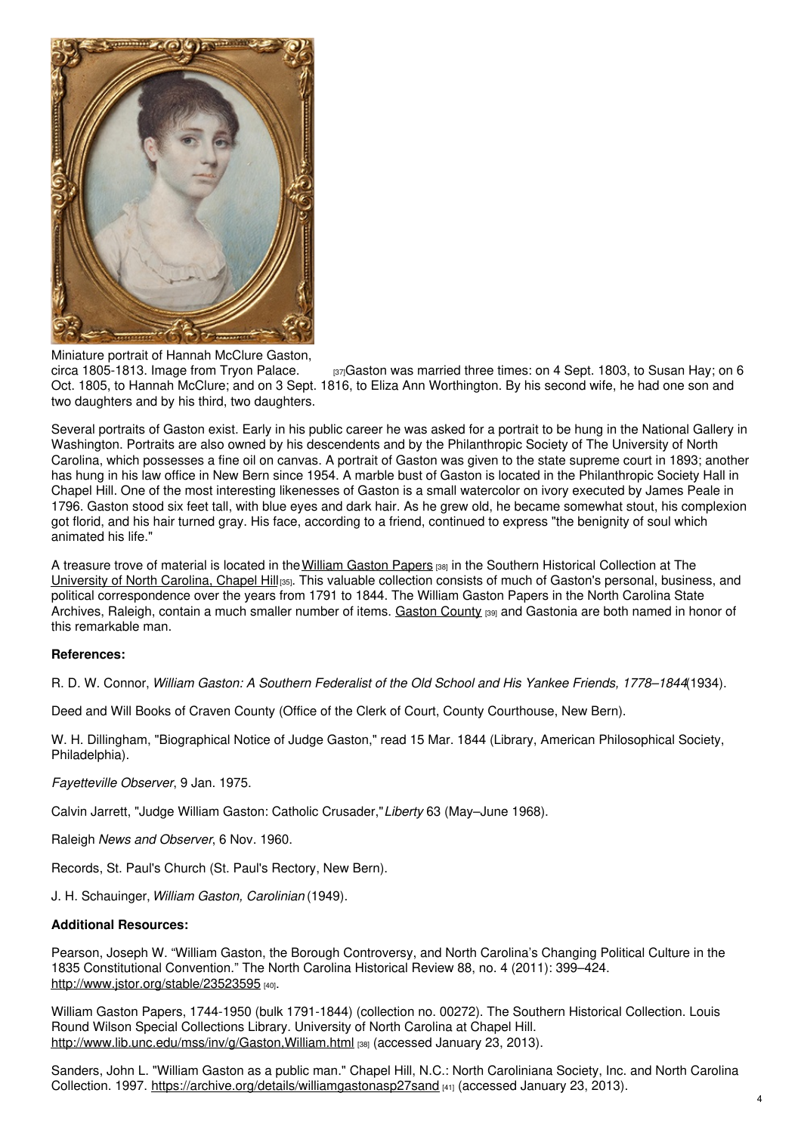

Miniature portrait of Hannah McClure Gaston, circa 1805-1813. Image from Tryon Palace.  $_{[37]}$ Gaston was married three times: on 4 Sept. 1803, to Susan Hay; on 6 Oct. 1805, to Hannah McClure; and on 3 Sept. 1816, to Eliza Ann Worthington. By his second wife, he had one son and two daughters and by his third, two daughters.

Several portraits of Gaston exist. Early in his public career he was asked for a portrait to be hung in the National Gallery in Washington. Portraits are also owned by his descendents and by the Philanthropic Society of The University of North Carolina, which possesses a fine oil on canvas. A portrait of Gaston was given to the state supreme court in 1893; another has hung in his law office in New Bern since 1954. A marble bust of Gaston is located in the Philanthropic Society Hall in Chapel Hill. One of the most interesting likenesses of Gaston is a small watercolor on ivory executed by James Peale in 1796. Gaston stood six feet tall, with blue eyes and dark hair. As he grew old, he became somewhat stout, his complexion got florid, and his hair turned gray. His face, according to a friend, continued to express "the benignity of soul which animated his life."

A treasure trove of material is located in the [William](http://www.lib.unc.edu/mss/inv/g/Gaston,William.html) Gaston Papers [38] in the Southern Historical Collection at The [University](https://ncpedia.org/university-north-carolina-chapel-hi) of North Carolina, Chapel Hill [35]. This valuable collection consists of much of Gaston's personal, business, and political correspondence over the years from 1791 to 1844. The William Gaston Papers in the North Carolina State Archives, Raleigh, contain a much smaller number of items. [Gaston](https://ncpedia.org/geography/gaston) County [39] and Gastonia are both named in honor of this remarkable man.

### **References:**

R. D. W. Connor, *William Gaston: A Southern Federalist of the Old School and His Yankee Friends, 1778–1844*(1934).

Deed and Will Books of Craven County (Office of the Clerk of Court, County Courthouse, New Bern).

W. H. Dillingham, "Biographical Notice of Judge Gaston," read 15 Mar. 1844 (Library, American Philosophical Society, Philadelphia).

*Fayetteville Observer*, 9 Jan. 1975.

Calvin Jarrett, "Judge William Gaston: Catholic Crusader,"*Liberty* 63 (May–June 1968).

Raleigh *News and Observer*, 6 Nov. 1960.

Records, St. Paul's Church (St. Paul's Rectory, New Bern).

J. H. Schauinger,*William Gaston, Carolinian* (1949).

### **Additional Resources:**

Pearson, Joseph W. "William Gaston, the Borough Controversy, and North Carolina's Changing Political Culture in the 1835 Constitutional Convention." The North Carolina Historical Review 88, no. 4 (2011): 399–424. http://www.istor.org/stable/23523595 [40].

William Gaston Papers, 1744-1950 (bulk 1791-1844) (collection no. 00272). The Southern Historical Collection. Louis Round Wilson Special Collections Library. University of North Carolina at Chapel Hill. <http://www.lib.unc.edu/mss/inv/g/Gaston,William.html> [38] (accessed January 23, 2013).

Sanders, John L. "William Gaston as a public man." Chapel Hill, N.C.: North Caroliniana Society, Inc. and North Carolina Collection. 1997. <https://archive.org/details/williamgastonasp27sand> [41] (accessed January 23, 2013).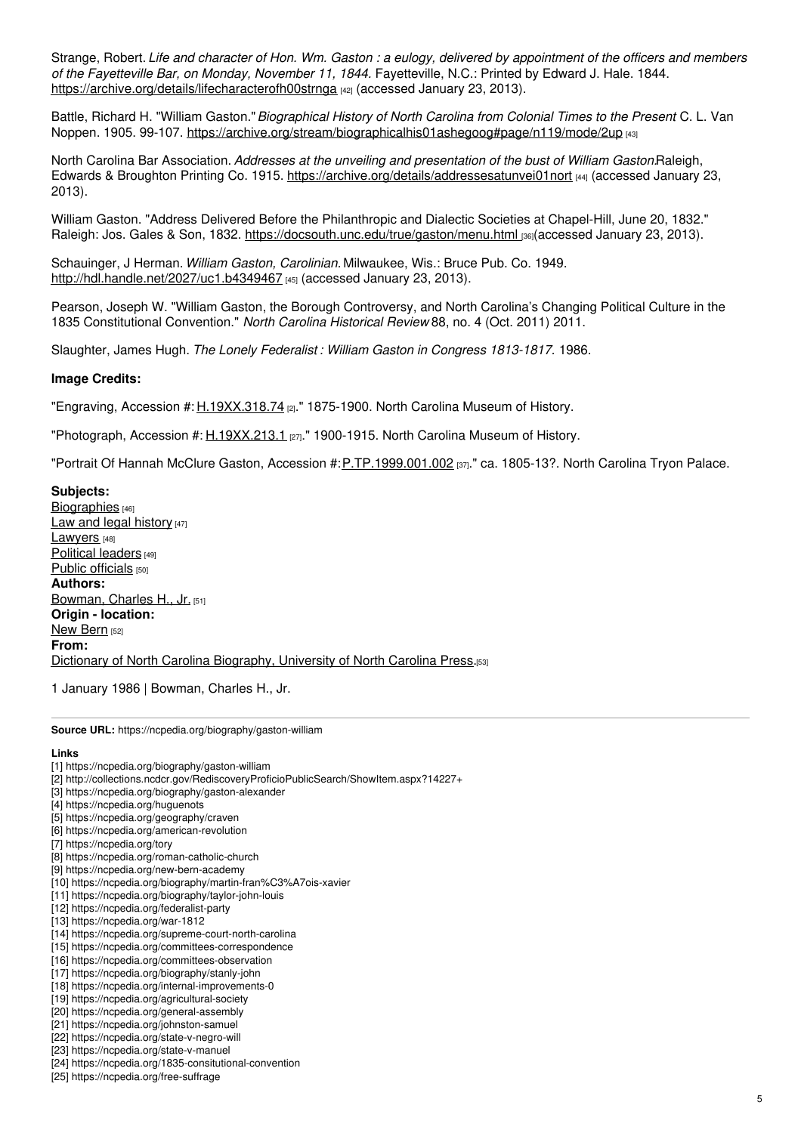Strange, Robert. Life and character of Hon. Wm. Gaston : a eulogy, delivered by appointment of the officers and members *of the Fayetteville Bar, on Monday, November 11, 1844.* Fayetteville, N.C.: Printed by Edward J. Hale. 1844. <https://archive.org/details/lifecharacterofh00strnga> [42] (accessed January 23, 2013).

Battle, Richard H. "William Gaston."*Biographical History of North Carolina from Colonial Times to the Present*. C. L. Van Noppen. 1905. 99-107. <https://archive.org/stream/biographicalhis01ashegoog#page/n119/mode/2up> [43]

North Carolina Bar Association. *Addresses at the unveiling and presentation of the bust of William Gaston.*Raleigh, Edwards & Broughton Printing Co. 1915. <https://archive.org/details/addressesatunvei01nort> [44] (accessed January 23, 2013).

William Gaston. "Address Delivered Before the Philanthropic and Dialectic Societies at Chapel-Hill, June 20, 1832." Raleigh: Jos. Gales & Son, 1832. <https://docsouth.unc.edu/true/gaston/menu.html> [36](accessed January 23, 2013).

Schauinger, J Herman. *William Gaston, Carolinian.* Milwaukee, Wis.: Bruce Pub. Co. 1949. <http://hdl.handle.net/2027/uc1.b4349467> [45] (accessed January 23, 2013).

Pearson, Joseph W. "William Gaston, the Borough Controversy, and North Carolina's Changing Political Culture in the 1835 Constitutional Convention." *North Carolina Historical Review* 88, no. 4 (Oct. 2011) 2011.

Slaughter, James Hugh. *The Lonely Federalist : William Gaston in Congress 1813-1817.* 1986.

#### **Image Credits:**

"Engraving, Accession #: [H.19XX.318.74](http://collections.ncdcr.gov/RediscoveryProficioPublicSearch/ShowItem.aspx?14227+) [2]." 1875-1900. North Carolina Museum of History.

"Photograph, Accession #: [H.19XX.213.1](http://collections.ncdcr.gov/RediscoveryProficioPublicSearch/ShowItem.aspx?44553+) [27]." 1900-1915. North Carolina Museum of History.

"Portrait Of Hannah McClure Gaston, Accession #: [P.TP.1999.001.002](http://collections.ncdcr.gov/RediscoveryProficioPublicSearch/ShowItem.aspx?227768+) [37]." ca. 1805-13?. North Carolina Tryon Palace.

**Subjects:** [Biographies](https://ncpedia.org/category/subjects/biography-term) [46] Law and legal [history](https://ncpedia.org/category/subjects/laws) [47] [Lawyers](https://ncpedia.org/category/subjects/lawyers) [48] [Political](https://ncpedia.org/category/subjects/political-leaders) leaders [49] Public [officials](https://ncpedia.org/category/subjects/public-officials) [50] **Authors:** [Bowman,](https://ncpedia.org/category/authors/bowman-charles-h-j) Charles H., Jr. [51] **Origin - location:** New [Bern](https://ncpedia.org/category/origin-location/coastal-41) [52] **From:** Dictionary of North Carolina [Biography,](https://ncpedia.org/category/entry-source/dictionary-no) University of North Carolina Press.[53]

1 January 1986 | Bowman, Charles H., Jr.

**Source URL:** https://ncpedia.org/biography/gaston-william

#### **Links**

- [1] https://ncpedia.org/biography/gaston-william
- [2] http://collections.ncdcr.gov/RediscoveryProficioPublicSearch/ShowItem.aspx?14227+
- [3] https://ncpedia.org/biography/gaston-alexander
- [4] https://ncpedia.org/huguenots
- [5] https://ncpedia.org/geography/craven
- [6] https://ncpedia.org/american-revolution
- [7] https://ncpedia.org/tory
- [8] https://ncpedia.org/roman-catholic-church
- [9] https://ncpedia.org/new-bern-academy
- [10] https://ncpedia.org/biography/martin-fran%C3%A7ois-xavier
- [11] https://ncpedia.org/biography/taylor-john-louis
- [12] https://ncpedia.org/federalist-party
- [13] https://ncpedia.org/war-1812
- [14] https://ncpedia.org/supreme-court-north-carolina
- [15] https://ncpedia.org/committees-correspondence
- [16] https://ncpedia.org/committees-observation
- [17] https://ncpedia.org/biography/stanly-john
- [18] https://ncpedia.org/internal-improvements-0
- [19] https://ncpedia.org/agricultural-society
- [20] https://ncpedia.org/general-assembly [21] https://ncpedia.org/johnston-samuel
- [22] https://ncpedia.org/state-v-negro-will
- [23] https://ncpedia.org/state-v-manuel
- [24] https://ncpedia.org/1835-consitutional-convention
- [25] https://ncpedia.org/free-suffrage